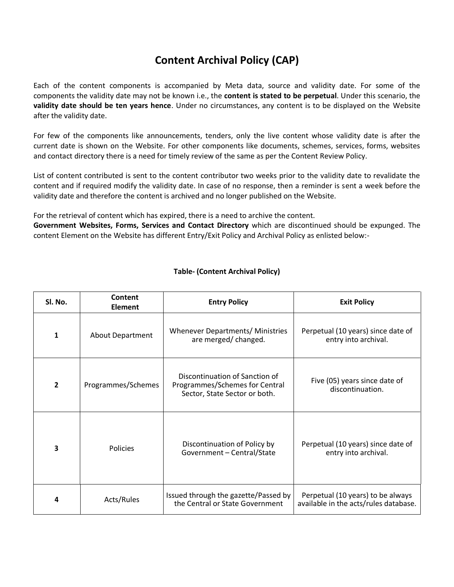## **Content Archival Policy (CAP)**

Each of the content components is accompanied by Meta data, source and validity date. For some of the components the validity date may not be known i.e., the **content is stated to be perpetual**. Under this scenario, the **validity date should be ten years hence**. Under no circumstances, any content is to be displayed on the Website after the validity date.

For few of the components like announcements, tenders, only the live content whose validity date is after the current date is shown on the Website. For other components like documents, schemes, services, forms, websites and contact directory there is a need for timely review of the same as per the Content Review Policy.

List of content contributed is sent to the content contributor two weeks prior to the validity date to revalidate the content and if required modify the validity date. In case of no response, then a reminder is sent a week before the validity date and therefore the content is archived and no longer published on the Website.

For the retrieval of content which has expired, there is a need to archive the content.

**Government Websites, Forms, Services and Contact Directory** which are discontinued should be expunged. The content Element on the Website has different Entry/Exit Policy and Archival Policy as enlisted below:-

| Sl. No.        | Content<br><b>Element</b> | <b>Entry Policy</b>                                                                               | <b>Exit Policy</b>                                                         |
|----------------|---------------------------|---------------------------------------------------------------------------------------------------|----------------------------------------------------------------------------|
| 1              | <b>About Department</b>   | Whenever Departments/ Ministries<br>are merged/changed.                                           | Perpetual (10 years) since date of<br>entry into archival.                 |
| $\overline{2}$ | Programmes/Schemes        | Discontinuation of Sanction of<br>Programmes/Schemes for Central<br>Sector, State Sector or both. | Five (05) years since date of<br>discontinuation.                          |
| 3              | <b>Policies</b>           | Discontinuation of Policy by<br>Government - Central/State                                        | Perpetual (10 years) since date of<br>entry into archival.                 |
| 4              | Acts/Rules                | Issued through the gazette/Passed by<br>the Central or State Government                           | Perpetual (10 years) to be always<br>available in the acts/rules database. |

## **Table- (Content Archival Policy)**